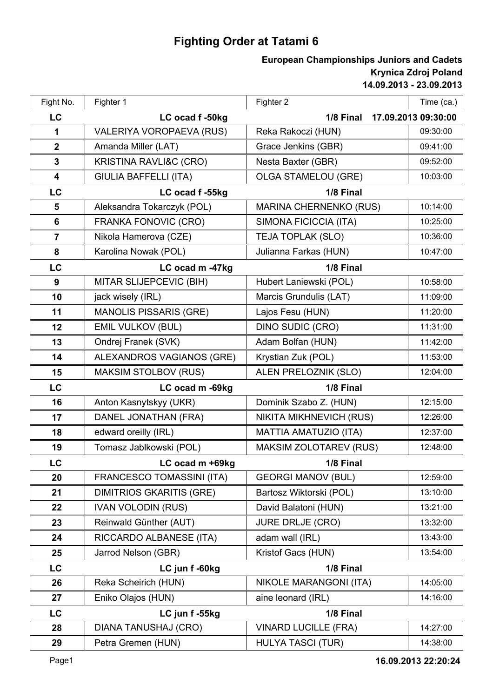## **Fighting Order at Tatami 6**

## **14.09.2013 - 23.09.2013 Krynica Zdroj Poland European Championships Juniors and Cadets**

| Fight No.               | Fighter 1                         | Fighter 2                        | Time (ca.) |
|-------------------------|-----------------------------------|----------------------------------|------------|
| LC                      | LC ocad f-50kg                    | 1/8 Final<br>17.09.2013 09:30:00 |            |
| 1                       | VALERIYA VOROPAEVA (RUS)          | Reka Rakoczi (HUN)               | 09:30:00   |
| $\boldsymbol{2}$        | Amanda Miller (LAT)               | Grace Jenkins (GBR)              | 09:41:00   |
| 3                       | <b>KRISTINA RAVLI&amp;C (CRO)</b> | Nesta Baxter (GBR)               | 09:52:00   |
| $\overline{\mathbf{4}}$ | <b>GIULIA BAFFELLI (ITA)</b>      | <b>OLGA STAMELOU (GRE)</b>       | 10:03:00   |
| LC                      | LC ocad f-55kg                    | 1/8 Final                        |            |
| 5                       | Aleksandra Tokarczyk (POL)        | <b>MARINA CHERNENKO (RUS)</b>    | 10:14:00   |
| 6                       | FRANKA FONOVIC (CRO)              | SIMONA FICICCIA (ITA)            | 10:25:00   |
| $\overline{7}$          | Nikola Hamerova (CZE)             | TEJA TOPLAK (SLO)                | 10:36:00   |
| 8                       | Karolina Nowak (POL)              | Julianna Farkas (HUN)            | 10:47:00   |
| LC                      | LC ocad m -47kg                   | 1/8 Final                        |            |
| 9                       | MITAR SLIJEPCEVIC (BIH)           | Hubert Laniewski (POL)           | 10:58:00   |
| 10                      | jack wisely (IRL)                 | Marcis Grundulis (LAT)           | 11:09:00   |
| 11                      | <b>MANOLIS PISSARIS (GRE)</b>     | Lajos Fesu (HUN)                 | 11:20:00   |
| 12                      | <b>EMIL VULKOV (BUL)</b>          | <b>DINO SUDIC (CRO)</b>          | 11:31:00   |
| 13                      | Ondrej Franek (SVK)               | Adam Bolfan (HUN)                | 11:42:00   |
| 14                      | ALEXANDROS VAGIANOS (GRE)         | Krystian Zuk (POL)               | 11:53:00   |
| 15                      | <b>MAKSIM STOLBOV (RUS)</b>       | ALEN PRELOZNIK (SLO)             | 12:04:00   |
| LC                      | LC ocad m -69kg                   | 1/8 Final                        |            |
| 16                      | Anton Kasnytskyy (UKR)            | Dominik Szabo Z. (HUN)           | 12:15:00   |
| 17                      | DANEL JONATHAN (FRA)              | NIKITA MIKHNEVICH (RUS)          | 12:26:00   |
| 18                      | edward oreilly (IRL)              | MATTIA AMATUZIO (ITA)            | 12:37:00   |
| 19                      | Tomasz Jablkowski (POL)           | <b>MAKSIM ZOLOTAREV (RUS)</b>    | 12:48:00   |
| LC                      | LC ocad m +69kg                   | 1/8 Final                        |            |
| 20                      | FRANCESCO TOMASSINI (ITA)         | <b>GEORGI MANOV (BUL)</b>        | 12:59:00   |
| 21                      | <b>DIMITRIOS GKARITIS (GRE)</b>   | Bartosz Wiktorski (POL)          | 13:10:00   |
| 22                      | <b>IVAN VOLODIN (RUS)</b>         | David Balatoni (HUN)             | 13:21:00   |
| 23                      | Reinwald Günther (AUT)            | <b>JURE DRLJE (CRO)</b>          | 13:32:00   |
| 24                      | RICCARDO ALBANESE (ITA)           | adam wall (IRL)                  | 13:43:00   |
| 25                      | Jarrod Nelson (GBR)               | Kristof Gacs (HUN)               | 13:54:00   |
| LC                      | LC jun f -60kg                    | 1/8 Final                        |            |
| 26                      | Reka Scheirich (HUN)              | NIKOLE MARANGONI (ITA)           | 14:05:00   |
| 27                      | Eniko Olajos (HUN)                | aine leonard (IRL)               | 14:16:00   |
| LC                      | LC jun f-55kg                     | 1/8 Final                        |            |
| 28                      | DIANA TANUSHAJ (CRO)              | <b>VINARD LUCILLE (FRA)</b>      | 14:27:00   |
| 29                      | Petra Gremen (HUN)                | <b>HULYA TASCI (TUR)</b>         | 14:38:00   |